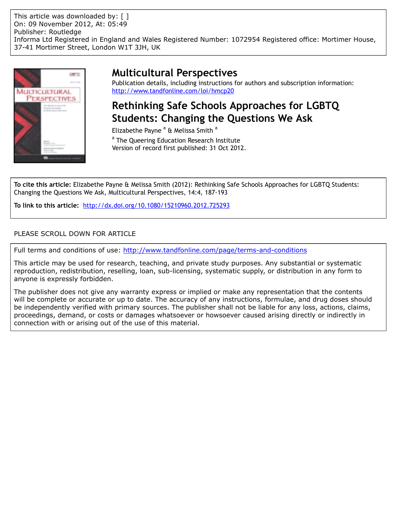

## **Multicultural Perspectives**

Publication details, including instructions for authors and subscription information: <http://www.tandfonline.com/loi/hmcp20>

# **Rethinking Safe Schools Approaches for LGBTQ Students: Changing the Questions We Ask**

Elizabethe Payne <sup>a</sup> & Melissa Smith <sup>a</sup>

<sup>a</sup> The Queering Education Research Institute Version of record first published: 31 Oct 2012.

**To cite this article:** Elizabethe Payne & Melissa Smith (2012): Rethinking Safe Schools Approaches for LGBTQ Students: Changing the Questions We Ask, Multicultural Perspectives, 14:4, 187-193

**To link to this article:** <http://dx.doi.org/10.1080/15210960.2012.725293>

## PLEASE SCROLL DOWN FOR ARTICLE

Full terms and conditions of use:<http://www.tandfonline.com/page/terms-and-conditions>

This article may be used for research, teaching, and private study purposes. Any substantial or systematic reproduction, redistribution, reselling, loan, sub-licensing, systematic supply, or distribution in any form to anyone is expressly forbidden.

The publisher does not give any warranty express or implied or make any representation that the contents will be complete or accurate or up to date. The accuracy of any instructions, formulae, and drug doses should be independently verified with primary sources. The publisher shall not be liable for any loss, actions, claims, proceedings, demand, or costs or damages whatsoever or howsoever caused arising directly or indirectly in connection with or arising out of the use of this material.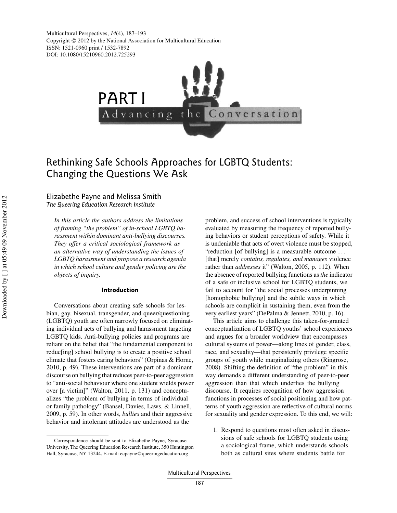Multicultural Perspectives, *14*(4), 187–193 Copyright  $\odot$  2012 by the National Association for Multicultural Education ISSN: 1521-0960 print / 1532-7892 DOI: 10.1080/15210960.2012.725293



## Rethinking Safe Schools Approaches for LGBTQ Students: Changing the Questions We Ask

## Elizabethe Payne and Melissa Smith *The Queering Education Research Institute*

*In this article the authors address the limitations of framing "the problem" of in-school LGBTQ harassment within dominant anti-bullying discourses. They offer a critical sociological framework as an alternative way of understanding the issues of LGBTQ harassment and propose a research agenda in which school culture and gender policing are the objects of inquiry.*

#### **Introduction**

Conversations about creating safe schools for lesbian, gay, bisexual, transgender, and queer/questioning (LGBTQ) youth are often narrowly focused on eliminating individual acts of bullying and harassment targeting LGBTQ kids. Anti-bullying policies and programs are reliant on the belief that "the fundamental component to reduc[ing] school bullying is to create a positive school climate that fosters caring behaviors" (Orpinas & Horne, 2010, p. 49). These interventions are part of a dominant discourse on bullying that reduces peer-to-peer aggression to "anti-social behaviour where one student wields power over [a victim]" (Walton, 2011, p. 131) and conceptualizes "the problem of bullying in terms of individual or family pathology" (Bansel, Davies, Laws, & Linnell, 2009, p. 59). In other words, *bullies* and their aggressive behavior and intolerant attitudes are understood as the

problem, and success of school interventions is typically evaluated by measuring the frequency of reported bullying behaviors or student perceptions of safety. While it is undeniable that acts of overt violence must be stopped, "reduction [of bullying] is a measurable outcome ... [that] merely *contains, regulates, and manages* violence rather than *addresses* it" (Walton, 2005, p. 112). When the absence of reported bullying functions as *the* indicator of a safe or inclusive school for LGBTQ students, we fail to account for "the social processes underpinning [homophobic bullying] and the subtle ways in which schools are complicit in sustaining them, even from the very earliest years" (DePalma & Jennett, 2010, p. 16).

This article aims to challenge this taken-for-granted conceptualization of LGBTQ youths' school experiences and argues for a broader worldview that encompasses cultural systems of power—along lines of gender, class, race, and sexuality—that persistently privilege specific groups of youth while marginalizing others (Ringrose, 2008). Shifting the definition of "the problem" in this way demands a different understanding of peer-to-peer aggression than that which underlies the bullying discourse. It requires recognition of how aggression functions in processes of social positioning and how patterns of youth aggression are reflective of cultural norms for sexuality and gender expression. To this end, we will:

1. Respond to questions most often asked in discussions of safe schools for LGBTQ students using a sociological frame, which understands schools both as cultural sites where students battle for

Correspondence should be sent to Elizabethe Payne, Syracuse University, The Queering Education Research Institute, 350 Huntington Hall, Syracuse, NY 13244. E-mail: ecpayne@queeringeducation.org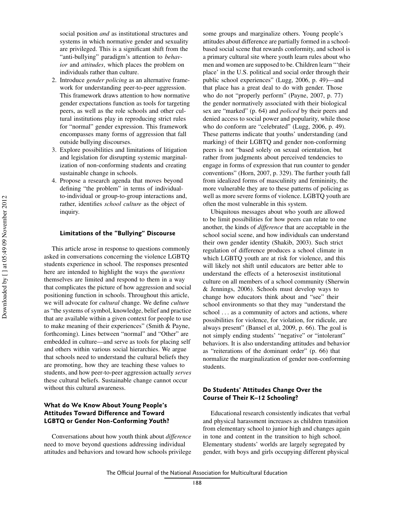social position *and* as institutional structures and systems in which normative gender and sexuality are privileged. This is a significant shift from the "anti-bullying" paradigm's attention to *behavior* and *attitudes*, which places the problem on individuals rather than culture.

- 2. Introduce *gender policing* as an alternative framework for understanding peer-to-peer aggression. This framework draws attention to how normative gender expectations function as tools for targeting peers, as well as the role schools and other cultural institutions play in reproducing strict rules for "normal" gender expression. This framework encompasses many forms of aggression that fall outside bullying discourses.
- 3. Explore possibilities and limitations of litigation and legislation for disrupting systemic marginalization of non-conforming students and creating sustainable change in schools.
- 4. Propose a research agenda that moves beyond defining "the problem" in terms of individualto-individual or group-to-group interactions and, rather, identifies *school culture* as the object of inquiry.

#### **Limitations of the "Bullying" Discourse**

This article arose in response to questions commonly asked in conversations concerning the violence LGBTQ students experience in school. The responses presented here are intended to highlight the ways the *questions* themselves are limited and respond to them in a way that complicates the picture of how aggression and social positioning function in schools. Throughout this article, we will advocate for *cultural* change. We define *culture* as "the systems of symbol, knowledge, belief and practice that are available within a given context for people to use to make meaning of their experiences" (Smith & Payne, forthcoming). Lines between "normal" and "Other" are embedded in culture—and serve as tools for placing self and others within various social hierarchies. We argue that schools need to understand the cultural beliefs they are promoting, how they are teaching these values to students, and how peer-to-peer aggression actually *serves* these cultural beliefs. Sustainable change cannot occur without this cultural awareness.

## **What do We Know About Young People's Attitudes Toward Difference and Toward LGBTQ or Gender Non-Conforming Youth?**

Conversations about how youth think about *difference* need to move beyond questions addressing individual attitudes and behaviors and toward how schools privilege some groups and marginalize others. Young people's attitudes about difference are partially formed in a schoolbased social scene that rewards conformity, and school is a primary cultural site where youth learn rules about who men and women are supposed to be. Children learn "'their place' in the U.S. political and social order through their public school experiences" (Lugg, 2006, p. 49)—and that place has a great deal to do with gender. Those who do not "properly perform" (Payne, 2007, p. 77) the gender normatively associated with their biological sex are "marked" (p. 64) and *policed* by their peers and denied access to social power and popularity, while those who do conform are "celebrated" (Lugg, 2006, p. 49). These patterns indicate that youths' understanding (and marking) of their LGBTQ and gender non-conforming peers is not "based solely on sexual orientation, but rather from judgments about perceived tendencies to engage in forms of expression that run counter to gender conventions" (Horn, 2007, p. 329). The further youth fall from idealized forms of masculinity and femininity, the more vulnerable they are to these patterns of policing as well as more severe forms of violence. LGBTQ youth are often the most vulnerable in this system.

Ubiquitous messages about who youth are allowed to be limit possibilities for how peers can relate to one another, the kinds of *difference* that are acceptable in the school social scene, and how individuals can understand their own gender identity (Shakib, 2003). Such strict regulation of difference produces a school climate in which LGBTQ youth are at risk for violence, and this will likely not shift until educators are better able to understand the effects of a heterosexist institutional culture on all members of a school community (Sherwin & Jennings, 2006). Schools must develop ways to change how educators think about and "see" their school environments so that they may "understand the school ... as a community of actors and actions, where possibilities for violence, for violation, for ridicule, are always present" (Bansel et al, 2009, p. 66). The goal is not simply ending students' "negative" or "intolerant" behaviors. It is also understanding attitudes and behavior as "reiterations of the dominant order" (p. 66) that normalize the marginalization of gender non-conforming students.

### **Do Students' Attitudes Change Over the Course of Their K–12 Schooling?**

Educational research consistently indicates that verbal and physical harassment increases as children transition from elementary school to junior high and changes again in tone and content in the transition to high school. Elementary students' worlds are largely segregated by gender, with boys and girls occupying different physical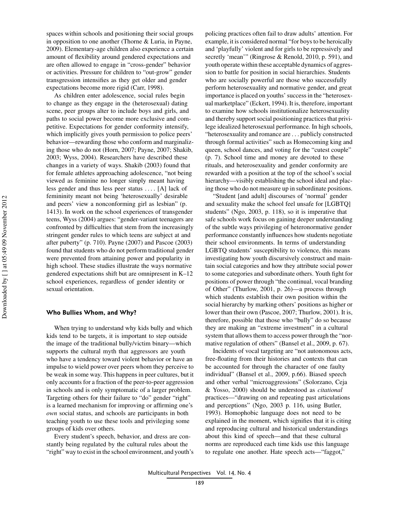spaces within schools and positioning their social groups in opposition to one another (Thorne & Luria, in Payne, 2009). Elementary-age children also experience a certain amount of flexibility around gendered expectations and are often allowed to engage in "cross-gender" behavior or activities. Pressure for children to "out-grow" gender transgression intensifies as they get older and gender expectations become more rigid (Carr, 1998).

As children enter adolescence, social rules begin to change as they engage in the (heterosexual) dating scene, peer groups alter to include boys and girls, and paths to social power become more exclusive and competitive. Expectations for gender conformity intensify, which implicitly gives youth permission to police peers' behavior—rewarding those who conform and marginalizing those who do not (Horn, 2007; Payne, 2007; Shakib, 2003; Wyss, 2004). Researchers have described these changes in a variety of ways. Shakib (2003) found that for female athletes approaching adolescence, "not being viewed as feminine no longer simply meant having less gender and thus less peer status ... . [A] lack of femininity meant not being 'heterosexually' desirable and peers' view a nonconforming girl as lesbian" (p. 1413). In work on the school experiences of transgender teens, Wyss (2004) argues: "gender-variant teenagers are confronted by difficulties that stem from the increasingly stringent gender rules to which teens are subject at and after puberty" (p. 710). Payne (2007) and Pascoe (2003) found that students who do not perform traditional gender were prevented from attaining power and popularity in high school. These studies illustrate the ways normative gendered expectations shift but are omnipresent in K–12 school experiences, regardless of gender identity or sexual orientation.

#### **Who Bullies Whom, and Why?**

When trying to understand why kids bully and which kids tend to be targets, it is important to step outside the image of the traditional bully/victim binary—which supports the cultural myth that aggressors are youth who have a tendency toward violent behavior or have an impulse to wield power over peers whom they perceive to be weak in some way. This happens in peer cultures, but it only accounts for a fraction of the peer-to-peer aggression in schools and is only symptomatic of a larger problem. Targeting others for their failure to "do" gender "right" is a learned mechanism for improving or affirming one's *own* social status, and schools are participants in both teaching youth to use these tools and privileging some groups of kids over others.

Every student's speech, behavior, and dress are constantly being regulated by the cultural rules about the "right" way to exist in the school environment, and youth's policing practices often fail to draw adults' attention. For example, it is considered normal "for boys to be heroically and 'playfully' violent and for girls to be repressively and secretly 'mean'" (Ringrose & Renold, 2010, p. 591), and youth operate within these acceptable dynamics of aggression to battle for position in social hierarchies. Students who are socially powerful are those who successfully perform heterosexuality and normative gender, and great importance is placed on youths' success in the "heterosexual marketplace" (Eckert, 1994). It is, therefore, important to examine how schools institutionalize heterosexuality and thereby support social positioning practices that privilege idealized heterosexual performance. In high schools, "heterosexuality and romance are ... publicly constructed through formal activities" such as Homecoming king and queen, school dances, and voting for the "cutest couple" (p. 7). School time and money are devoted to these rituals, and heterosexuality and gender conformity are rewarded with a position at the top of the school's social hierarchy—visibly establishing the school ideal and placing those who do not measure up in subordinate positions.

"Student [and adult] discourses of 'normal' gender and sexuality make the school feel unsafe for [LGBTQ] students" (Ngo, 2003, p. 118), so it is imperative that safe schools work focus on gaining deeper understanding of the subtle ways privileging of heteronormative gender performance constantly influences how students negotiate their school environments. In terms of understanding LGBTQ students' susceptibility to violence, this means investigating how youth discursively construct and maintain social categories and how they attribute social power to some categories and subordinate others. Youth fight for positions of power through "the continual, vocal branding of Other" (Thurlow, 2001, p. 26)—a process through which students establish their own position within the social hierarchy by marking others' positions as higher or lower than their own (Pascoe, 2007; Thurlow, 2001). It is, therefore, possible that those who "bully" do so because they are making an "extreme investment" in a cultural system that allows them to access power through the "normative regulation of others" (Bansel et al., 2009, p. 67).

Incidents of vocal targeting are "not autonomous acts, free-floating from their histories and contexts that can be accounted for through the character of one faulty individual" (Bansel et al., 2009, p.66). Biased speech and other verbal "microaggressions" (Solorzano, Ceja & Yosso, 2000) should be understood as *citational* practices—"drawing on and repeating past articulations and perceptions" (Ngo, 2003 p. 116, using Butler, 1993). Homophobic language does not need to be explained in the moment, which signifies that it is citing and reproducing cultural and historical understandings about this kind of speech—and that these cultural norms are reproduced each time kids use this language to regulate one another. Hate speech acts—"faggot,"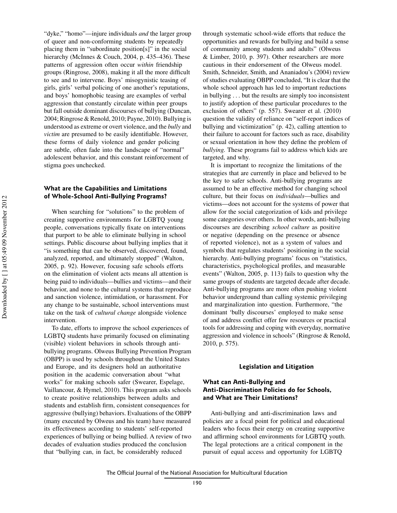"dyke," "homo"—injure individuals *and* the larger group of queer and non-conforming students by repeatedly placing them in "subordinate position[s]" in the social hierarchy (McInnes & Couch, 2004, p. 435-436). These patterns of aggression often occur *within* friendship groups (Ringrose, 2008), making it all the more difficult to see and to intervene. Boys' misogynistic teasing of girls, girls' verbal policing of one another's reputations, and boys' homophobic teasing are examples of verbal aggression that constantly circulate within peer groups but fall outside dominant discourses of bullying (Duncan, 2004; Ringrose & Renold, 2010; Payne, 2010). Bullying is understood as extreme or overt violence, and the *bully* and *victim* are presumed to be easily identifiable. However, these forms of daily violence and gender policing are subtle, often fade into the landscape of "normal" adolescent behavior, and this constant reinforcement of stigma goes unchecked.

## **What are the Capabilities and Limitations of Whole-School Anti-Bullying Programs?**

When searching for "solutions" to the problem of creating supportive environments for LGBTQ young people, conversations typically fixate on interventions that purport to be able to eliminate bullying in school settings. Public discourse about bullying implies that it "is something that can be observed, discovered, found, analyzed, reported, and ultimately stopped" (Walton, 2005, p. 92). However, focusing safe schools efforts on the elimination of violent acts means all attention is being paid to individuals—bullies and victims—and their behavior, and none to the cultural systems that reproduce and sanction violence, intimidation, or harassment. For any change to be sustainable, school interventions must take on the task of *cultural change* alongside violence intervention.

To date, efforts to improve the school experiences of LGBTQ students have primarily focused on eliminating (visible) violent behaviors in schools through antibullying programs. Olweus Bullying Prevention Program (OBPP) is used by schools throughout the United States and Europe, and its designers hold an authoritative position in the academic conversation about "what works" for making schools safer (Swearer, Espelage, Vaillancour, & Hymel, 2010). This program asks schools to create positive relationships between adults and students and establish firm, consistent consequences for aggressive (bullying) behaviors. Evaluations of the OBPP (many executed by Olweus and his team) have measured its effectiveness according to students' self-reported experiences of bullying or being bullied. A review of two decades of evaluation studies produced the conclusion that "bullying can, in fact, be considerably reduced

through systematic school-wide efforts that reduce the opportunities and rewards for bullying and build a sense of community among students and adults" (Olweus & Limber, 2010, p. 397). Other researchers are more cautious in their endorsement of the Olweus model. Smith, Schneider, Smith, and Ananiadou's (2004) review of studies evaluating OBPP concluded, "It is clear that the whole school approach has led to important reductions in bullying ... but the results are simply too inconsistent to justify adoption of these particular procedures to the exclusion of others" (p. 557). Swearer et al. (2010) question the validity of reliance on "self-report indices of bullying and victimization" (p. 42), calling attention to their failure to account for factors such as race, disability or sexual orientation in how they define the problem of *bullying.* These programs fail to address which kids are targeted, and why.

It is important to recognize the limitations of the strategies that are currently in place and believed to be the key to safer schools. Anti-bullying programs are assumed to be an effective method for changing school culture, but their focus on *individuals*—bullies and victims—does not account for the systems of power that allow for the social categorization of kids and privilege some categories over others. In other words, anti-bullying discourses are describing *school culture* as positive or negative (depending on the presence or absence of reported violence), not as a system of values and symbols that regulates students' positioning in the social hierarchy. Anti-bullying programs' focus on "statistics, characteristics, psychological profiles, and measurable events" (Walton, 2005, p. 113) fails to question why the same groups of students are targeted decade after decade. Anti-bullying programs are more often pushing violent behavior underground than calling systemic privileging and marginalization into question. Furthermore, "the dominant 'bully discourses' employed to make sense of and address conflict offer few resources or practical tools for addressing and coping with everyday, normative aggression and violence in schools" (Ringrose & Renold, 2010, p. 575).

#### **Legislation and Litigation**

### **What can Anti-Bullying and Anti-Discrimination Policies do for Schools, and What are Their Limitations?**

Anti-bullying and anti-discrimination laws and policies are a focal point for political and educational leaders who focus their energy on creating supportive and affirming school environments for LGBTQ youth. The legal protections are a critical component in the pursuit of equal access and opportunity for LGBTQ

The Official Journal of the National Association for Multicultural Education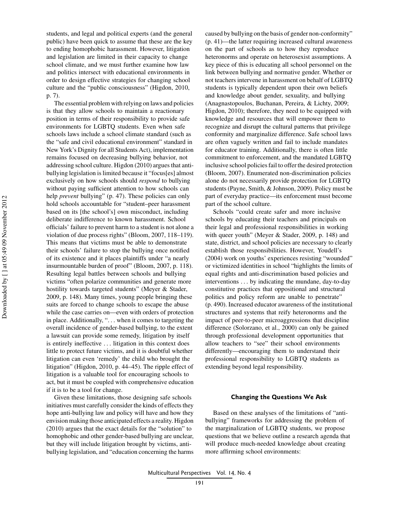students, and legal and political experts (and the general public) have been quick to assume that these are the key to ending homophobic harassment. However, litigation and legislation are limited in their capacity to change school climate, and we must further examine how law and politics intersect with educational environments in order to design effective strategies for changing school culture and the "public consciousness" (Higdon, 2010, p. 7).

The essential problem with relying on laws and policies is that they allow schools to maintain a reactionary position in terms of their responsibility to provide safe environments for LGBTQ students. Even when safe schools laws include a school climate standard (such as the "safe and civil educational environment" standard in New York's Dignity for all Students Act), implementation remains focused on decreasing bullying behavior, not addressing school culture. Higdon (2010) argues that antibullying legislation is limited because it "focus[es] almost exclusively on how schools should *respond* to bullying without paying sufficient attention to how schools can help *prevent* bullying" (p. 47). These policies can only hold schools accountable for "student–peer harassment based on its [the school's] own misconduct, including deliberate indifference to known harassment. School officials' failure to prevent harm to a student is not alone a violation of due process rights" (Bloom, 2007, 118–119). This means that victims must be able to demonstrate their schools' failure to stop the bullying once notified of its existence and it places plaintiffs under "a nearly insurmountable burden of proof" (Bloom, 2007, p. 118). Resulting legal battles between schools and bullying victims "often polarize communities and generate more hostility towards targeted students" (Meyer & Stader, 2009, p. 148). Many times, young people bringing these suits are forced to change schools to escape the abuse while the case carries on—even with orders of protection in place. Additionally, "... when it comes to targeting the overall incidence of gender-based bullying, to the extent a lawsuit can provide some remedy, litigation by itself is entirely ineffective ... litigation in this context does little to protect future victims, and it is doubtful whether litigation can even 'remedy' the child who brought the litigation" (Higdon, 2010, p. 44–45). The ripple effect of litigation is a valuable tool for encouraging schools to act, but it must be coupled with comprehensive education if it is to be a tool for change.

Given these limitations, those designing safe schools initiatives must carefully consider the kinds of effects they hope anti-bullying law and policy will have and how they envision making those anticipated effects a reality. Higdon (2010) argues that the exact details for the "solution" to homophobic and other gender-based bullying are unclear, but they will include litigation brought by victims, antibullying legislation, and "education concerning the harms caused by bullying on the basis of gender non-conformity" (p. 41)—the latter requiring increased cultural awareness on the part of schools as to how they reproduce heteronorms and operate on heterosexist assumptions. A key piece of this is educating all school personnel on the link between bullying and normative gender. Whether or not teachers intervene in harassment on behalf of LGBTQ students is typically dependent upon their own beliefs and knowledge about gender, sexuality, and bullying (Anagnastopoulos, Buchanan, Pereira, & Lichty, 2009; Higdon, 2010); therefore, they need to be equipped with knowledge and resources that will empower them to recognize and disrupt the cultural patterns that privilege conformity and marginalize difference. Safe school laws are often vaguely written and fail to include mandates for educator training. Additionally, there is often little commitment to enforcement, and the mandated LGBTQ inclusive school policies fail to offer the desired protection (Bloom, 2007). Enumerated non-discrimination policies alone do not necessarily provide protection for LGBTQ students (Payne, Smith, & Johnson, 2009). Policy must be part of everyday practice—its enforcement must become part of the school culture.

Schools "could create safer and more inclusive schools by educating their teachers and principals on their legal and professional responsibilities in working with queer youth" (Meyer & Stader, 2009, p. 148) and state, district, and school policies are necessary to clearly establish those responsibilities. However, Youdell's (2004) work on youths' experiences resisting "wounded" or victimized identities in school "highlights the limits of equal rights and anti-discrimination based policies and interventions ... by indicating the mundane, day-to-day constitutive practices that oppositional and structural politics and policy reform are unable to penetrate" (p. 490). Increased educator awareness of the institutional structures and systems that reify heteronorms and the impact of peer-to-peer microaggressions that discipline difference (Solorzano, et al., 2000) can only be gained through professional development opportunities that allow teachers to "see" their school environments differently—encouraging them to understand their professional responsibility to LGBTQ students as extending beyond legal responsibility.

#### **Changing the Questions We Ask**

Based on these analyses of the limitations of "antibullying" frameworks for addressing the problem of the marginalization of LGBTQ students, we propose questions that we believe outline a research agenda that will produce much-needed knowledge about creating more affirming school environments: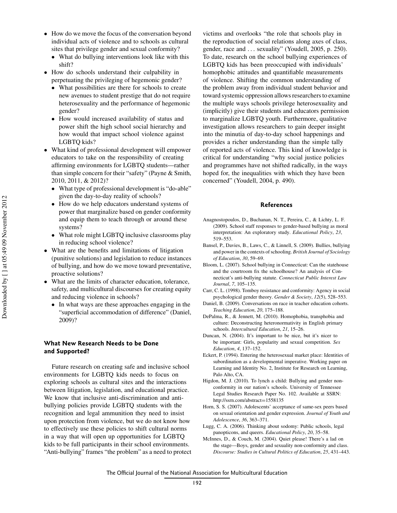- How do we move the focus of the conversation beyond individual acts of violence and to schools as cultural sites that privilege gender and sexual conformity?
	- What do bullying interventions look like with this shift?
- How do schools understand their culpability in perpetuating the privileging of hegemonic gender?
	- What possibilities are there for schools to create new avenues to student prestige that do not require heterosexuality and the performance of hegemonic gender?
	- How would increased availability of status and power shift the high school social hierarchy and how would that impact school violence against LGBTQ kids?
- What kind of professional development will empower educators to take on the responsibility of creating affirming environments for LGBTQ students—rather than simple concern for their "safety" (Payne & Smith, 2010, 2011, & 2012)?
	- What type of professional development is "do-able" given the day-to-day reality of schools?
	- How do we help educators understand systems of power that marginalize based on gender conformity and equip them to teach through or around these systems?
	- What role might LGBTQ inclusive classrooms play in reducing school violence?
- What are the benefits and limitations of litigation (punitive solutions) and legislation to reduce instances of bullying, and how do we move toward preventative, proactive solutions?
- What are the limits of character education, tolerance, safety, and multicultural discourses for creating equity and reducing violence in schools?
	- In what ways are these approaches engaging in the "superficial accommodation of difference" (Daniel, 2009)?

### **What New Research Needs to be Done and Supported?**

Future research on creating safe and inclusive school environments for LGBTQ kids needs to focus on exploring schools as cultural sites and the interactions between litigation, legislation, and educational practice. We know that inclusive anti-discrimination and antibullying policies provide LGBTQ students with the recognition and legal ammunition they need to insist upon protection from violence, but we do not know how to effectively use these policies to shift cultural norms in a way that will open up opportunities for LGBTQ kids to be full participants in their school environments. "Anti-bullying" frames "the problem" as a need to protect victims and overlooks "the role that schools play in the reproduction of social relations along axes of class, gender, race and ... sexuality" (Youdell, 2005, p. 250). To date, research on the school bullying experiences of LGBTQ kids has been preoccupied with individuals' homophobic attitudes and quantifiable measurements of violence. Shifting the common understanding of the problem away from individual student behavior and toward systemic oppression allows researchers to examine the multiple ways schools privilege heterosexuality and (implicitly) give their students and educators permission to marginalize LGBTQ youth. Furthermore, qualitative investigation allows researchers to gain deeper insight into the minutia of day-to-day school happenings and provides a richer understanding than the simple tally of reported acts of violence. This kind of knowledge is critical for understanding "why social justice policies and programmes have not shifted radically, in the ways hoped for, the inequalities with which they have been concerned" (Youdell, 2004, p. 490).

#### **References**

- Anagnostopoulos, D., Buchanan, N. T., Pereira, C., & Lichty, L. F. (2009). School staff responses to gender-based bullying as moral interpretation: An exploratory study. *Educational Policy*, *23*, 519–553.
- Bansel, P., Davies, B., Laws, C., & Linnell, S. (2009). Bullies, bullying and power in the contexts of schooling. *British Journal of Sociology of Education*, *30*, 59–69.
- Bloom, L. (2007). School bullying in Connecticut: Can the statehouse and the courtroom fix the schoolhouse? An analysis of Connecticut's anti-bullying statute. *Connecticut Public Interest Law Journal*, *7*, 105–135.
- Carr, C. L. (1998). Tomboy resistance and conformity: Agency in social psychological gender theory. *Gender & Society*, *12*(5), 528–553.
- Daniel, B. (2009). Conversations on race in teacher education cohorts. *Teaching Education*, *20*, 175–188.
- DePalma, R., & Jennett, M. (2010). Homophobia, transphobia and culture: Deconstructing heteronormativity in English primary schools. *Intercultural Education*, *21*, 15–26.
- Duncan, N. (2004). It's important to be nice, but it's nicer to be important: Girls, popularity and sexual competition. *Sex Education*, *4*, 137–152.
- Eckert, P. (1994). Entering the heterosexual market place: Identities of subordination as a developmental imperative. Working paper on Learning and Identity No. 2, Institute for Research on Learning, Palo Alto, CA.
- Higdon, M. J. (2010). To lynch a child: Bullying and gender nonconformity in our nation's schools. University of Tennessee Legal Studies Research Paper No. 102. Available at SSRN: http://ssrn.com/abstract=1558135
- Horn, S. S. (2007). Adolescents' acceptance of same-sex peers based on sexual orientation and gender expression. *Journal of Youth and Adolescence*, *36*, 363–371.
- Lugg, C. A. (2006). Thinking about sodomy: Public schools, legal panopticons, and queers. *Educational Policy*, *20*, 35–58.
- McInnes, D., & Couch, M. (2004). Quiet please! There's a lad on the stage—Boys, gender and sexuality non-conformity and class. *Discourse: Studies in Cultural Politics of Education*, *25*, 431–443.

The Official Journal of the National Association for Multicultural Education